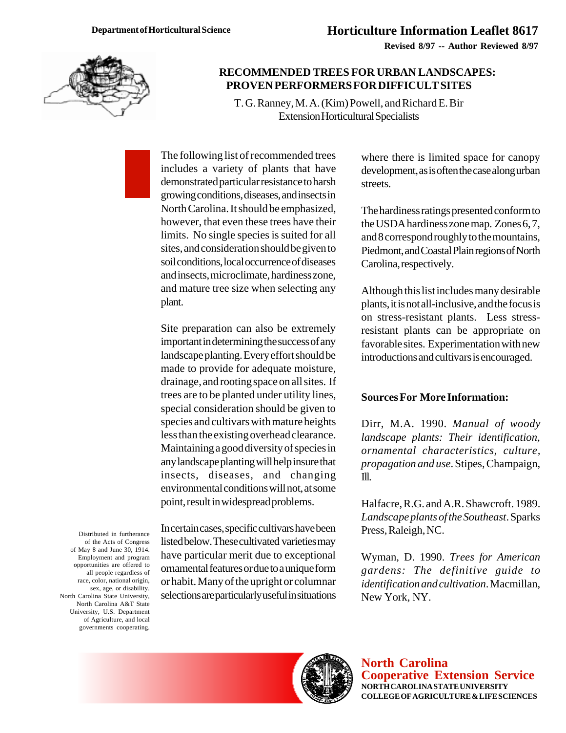**Revised 8/97 -- Author Reviewed 8/97**



## **RECOMMENDED TREES FOR URBAN LANDSCAPES: PROVEN PERFORMERS FOR DIFFICULT SITES**

T. G. Ranney, M. A. (Kim) Powell, and Richard E. Bir Extension Horticultural Specialists

The following list of recommended trees includes a variety of plants that have demonstrated particular resistance to harsh growing conditions, diseases, and insects in North Carolina. It should be emphasized, however, that even these trees have their limits. No single species is suited for all sites, and consideration should be given to soil conditions, local occurrence of diseases and insects, microclimate, hardiness zone, and mature tree size when selecting any plant.

Site preparation can also be extremely important in determining the success of any landscape planting. Every effort should be made to provide for adequate moisture, drainage, and rooting space on all sites. If trees are to be planted under utility lines, special consideration should be given to species and cultivars with mature heights less than the existing overhead clearance. Maintaining a good diversity of species in any landscape planting will help insure that insects, diseases, and changing environmental conditions will not, at some point, result in widespread problems.

Distributed in furtherance of the Acts of Congress of May 8 and June 30, 1914. Employment and program opportunities are offered to all people regardless of race, color, national origin, sex, age, or disability. North Carolina State University, North Carolina A&T State University, U.S. Department of Agriculture, and local governments cooperating.

In certain cases, specific cultivars have been listed below. These cultivated varieties may have particular merit due to exceptional ornamental features or due to a unique form or habit. Many of the upright or columnar selections are particularly useful in situations where there is limited space for canopy development, as is often the case along urban streets.

The hardiness ratings presented conform to the USDA hardiness zone map. Zones 6, 7, and 8 correspond roughly to the mountains, Piedmont, and Coastal Plain regions of North Carolina, respectively.

Although this list includes many desirable plants, it is not all-inclusive, and the focus is on stress-resistant plants. Less stressresistant plants can be appropriate on favorable sites. Experimentation with new introductions and cultivars is encouraged.

## **Sources For More Information:**

Dirr, M.A. 1990. *Manual of woody landscape plants: Their identification, ornamental characteristics, culture, propagation and use*. Stipes, Champaign, Ill.

Halfacre, R.G. and A.R. Shawcroft. 1989. *Landscape plants of the Southeast*. Sparks Press, Raleigh, NC.

Wyman, D. 1990. *Trees for American gardens: The definitive guide to identification and cultivation*. Macmillan, New York, NY.



**North Carolina Cooperative Extension Service NORTH CAROLINA STATE UNIVERSITY COLLEGE OF AGRICULTURE & LIFE SCIENCES**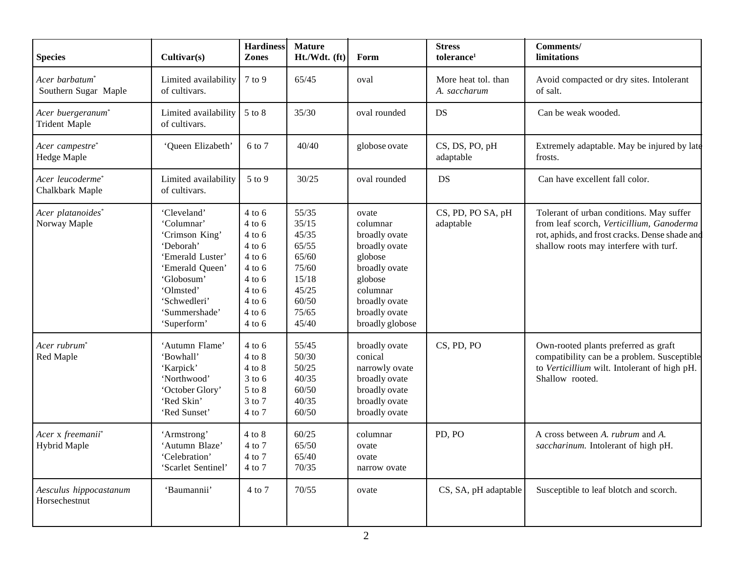| <b>Species</b>                                        | Cultivar(s)                                                                                                                                                                | <b>Hardiness</b><br>Zones                                                                                                                              | <b>Mature</b><br>Ht./Wdt. (ft)                                                                  | Form                                                                                                                                                        | <b>Stress</b><br>tolerance <sup>1</sup> | Comments/<br>limitations                                                                                                                                                          |
|-------------------------------------------------------|----------------------------------------------------------------------------------------------------------------------------------------------------------------------------|--------------------------------------------------------------------------------------------------------------------------------------------------------|-------------------------------------------------------------------------------------------------|-------------------------------------------------------------------------------------------------------------------------------------------------------------|-----------------------------------------|-----------------------------------------------------------------------------------------------------------------------------------------------------------------------------------|
| Acer barbatum <sup>*</sup><br>Southern Sugar Maple    | Limited availability<br>of cultivars.                                                                                                                                      | 7 to 9                                                                                                                                                 | 65/45                                                                                           | oval                                                                                                                                                        | More heat tol. than<br>A. saccharum     | Avoid compacted or dry sites. Intolerant<br>of salt.                                                                                                                              |
| Acer buergeranum <sup>*</sup><br><b>Trident Maple</b> | Limited availability<br>of cultivars.                                                                                                                                      | 5 to 8                                                                                                                                                 | 35/30                                                                                           | oval rounded                                                                                                                                                | DS                                      | Can be weak wooded.                                                                                                                                                               |
| Acer campestre*<br>Hedge Maple                        | 'Queen Elizabeth'                                                                                                                                                          | 6 to 7                                                                                                                                                 | 40/40                                                                                           | globose ovate                                                                                                                                               | CS, DS, PO, pH<br>adaptable             | Extremely adaptable. May be injured by late<br>frosts.                                                                                                                            |
| Acer leucoderme*<br>Chalkbark Maple                   | Limited availability<br>of cultivars.                                                                                                                                      | 5 to 9                                                                                                                                                 | 30/25                                                                                           | oval rounded                                                                                                                                                | DS                                      | Can have excellent fall color.                                                                                                                                                    |
| Acer platanoides*<br>Norway Maple                     | 'Cleveland'<br>'Columnar'<br>'Crimson King'<br>'Deborah'<br>'Emerald Luster'<br>'Emerald Queen'<br>'Globosum'<br>'Olmsted'<br>'Schwedleri'<br>'Summershade'<br>'Superform' | $4$ to $6$<br>$4$ to $6$<br>$4$ to $6$<br>$4$ to $6$<br>$4$ to $6$<br>$4$ to $6$<br>$4$ to $6$<br>$4$ to $6$<br>$4$ to $6$<br>$4$ to $6$<br>$4$ to $6$ | 55/35<br>35/15<br>45/35<br>65/55<br>65/60<br>75/60<br>15/18<br>45/25<br>60/50<br>75/65<br>45/40 | ovate<br>columnar<br>broadly ovate<br>broadly ovate<br>globose<br>broadly ovate<br>globose<br>columnar<br>broadly ovate<br>broadly ovate<br>broadly globose | CS, PD, PO SA, pH<br>adaptable          | Tolerant of urban conditions. May suffer<br>from leaf scorch, Verticillium, Ganoderma<br>rot, aphids, and frost cracks. Dense shade and<br>shallow roots may interfere with turf. |
| Acer rubrum <sup>*</sup><br>Red Maple                 | 'Autumn Flame'<br>'Bowhall'<br>'Karpick'<br>'Northwood'<br>'October Glory'<br>'Red Skin'<br>'Red Sunset'                                                                   | $4$ to $6$<br>$4$ to $8$<br>4 to 8<br>$3$ to $6$<br>$5$ to $8$<br>3 to 7<br>4 to 7                                                                     | 55/45<br>50/30<br>50/25<br>40/35<br>60/50<br>40/35<br>60/50                                     | broadly ovate<br>conical<br>narrowly ovate<br>broadly ovate<br>broadly ovate<br>broadly ovate<br>broadly ovate                                              | CS, PD, PO                              | Own-rooted plants preferred as graft<br>compatibility can be a problem. Susceptible<br>to Verticillium wilt. Intolerant of high pH.<br>Shallow rooted.                            |
| Acer x freemanii*<br><b>Hybrid Maple</b>              | 'Armstrong'<br>'Autumn Blaze'<br>'Celebration'<br>'Scarlet Sentinel'                                                                                                       | $4$ to $8$<br>4 to 7<br>4 to 7<br>4 to 7                                                                                                               | 60/25<br>65/50<br>65/40<br>70/35                                                                | columnar<br>ovate<br>ovate<br>narrow ovate                                                                                                                  | PD, PO                                  | A cross between A. rubrum and A.<br>saccharinum. Intolerant of high pH.                                                                                                           |
| Aesculus hippocastanum<br>Horsechestnut               | 'Baumannii'                                                                                                                                                                | 4 to 7                                                                                                                                                 | 70/55                                                                                           | ovate                                                                                                                                                       | CS, SA, pH adaptable                    | Susceptible to leaf blotch and scorch.                                                                                                                                            |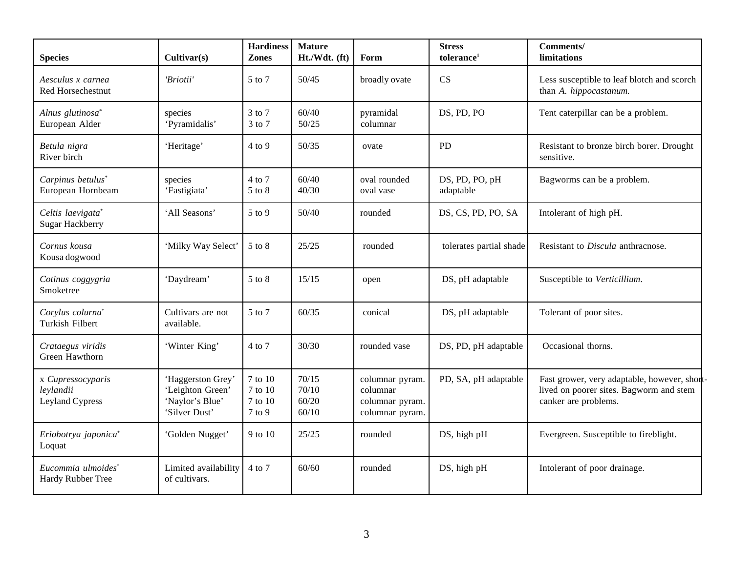| <b>Species</b>                                      | Cultivar(s)                                                               | <b>Hardiness</b><br>Zones               | <b>Mature</b><br>Ht./Wdt. (ft)   | Form                                                              | <b>Stress</b><br>tolerance <sup>1</sup> | Comments/<br>limitations                                                                                        |
|-----------------------------------------------------|---------------------------------------------------------------------------|-----------------------------------------|----------------------------------|-------------------------------------------------------------------|-----------------------------------------|-----------------------------------------------------------------------------------------------------------------|
| Aesculus x carnea<br><b>Red Horsechestnut</b>       | 'Briotii'                                                                 | 5 to 7                                  | 50/45                            | broadly ovate                                                     | CS                                      | Less susceptible to leaf blotch and scorch<br>than A. hippocastanum.                                            |
| Alnus glutinosa*<br>European Alder                  | species<br>'Pyramidalis'                                                  | 3 to 7<br>3 to 7                        | 60/40<br>50/25                   | pyramidal<br>columnar                                             | DS, PD, PO                              | Tent caterpillar can be a problem.                                                                              |
| Betula nigra<br>River birch                         | 'Heritage'                                                                | $4$ to $9$                              | 50/35                            | ovate                                                             | PD                                      | Resistant to bronze birch borer. Drought<br>sensitive.                                                          |
| Carpinus betulus*<br>European Hornbeam              | species<br>'Fastigiata'                                                   | 4 to 7<br>5 to 8                        | 60/40<br>40/30                   | oval rounded<br>oval vase                                         | DS, PD, PO, pH<br>adaptable             | Bagworms can be a problem.                                                                                      |
| Celtis laevigata*<br>Sugar Hackberry                | 'All Seasons'                                                             | $5$ to 9                                | 50/40                            | rounded                                                           | DS, CS, PD, PO, SA                      | Intolerant of high pH.                                                                                          |
| Cornus kousa<br>Kousa dogwood                       | 'Milky Way Select'                                                        | 5 to 8                                  | 25/25                            | rounded                                                           | tolerates partial shade                 | Resistant to Discula anthracnose.                                                                               |
| Cotinus coggygria<br>Smoketree                      | 'Daydream'                                                                | $5$ to $8$                              | 15/15                            | open                                                              | DS, pH adaptable                        | Susceptible to Verticillium.                                                                                    |
| Corylus colurna*<br>Turkish Filbert                 | Cultivars are not<br>available.                                           | 5 to 7                                  | 60/35                            | conical                                                           | DS, pH adaptable                        | Tolerant of poor sites.                                                                                         |
| Crataegus viridis<br>Green Hawthorn                 | 'Winter King'                                                             | 4 to 7                                  | 30/30                            | rounded vase                                                      | DS, PD, pH adaptable                    | Occasional thorns.                                                                                              |
| x Cupressocyparis<br>leylandii<br>Leyland Cypress   | 'Haggerston Grey'<br>'Leighton Green'<br>'Naylor's Blue'<br>'Silver Dust' | 7 to 10<br>7 to 10<br>7 to 10<br>7 to 9 | 70/15<br>70/10<br>60/20<br>60/10 | columnar pyram.<br>columnar<br>columnar pyram.<br>columnar pyram. | PD, SA, pH adaptable                    | Fast grower, very adaptable, however, short-<br>lived on poorer sites. Bagworm and stem<br>canker are problems. |
| Eriobotrya japonica*<br>Loquat                      | 'Golden Nugget'                                                           | 9 to 10                                 | 25/25                            | rounded                                                           | DS, high pH                             | Evergreen. Susceptible to fireblight.                                                                           |
| Eucommia ulmoides <sup>*</sup><br>Hardy Rubber Tree | Limited availability<br>of cultivars.                                     | 4 to 7                                  | 60/60                            | rounded                                                           | DS, high pH                             | Intolerant of poor drainage.                                                                                    |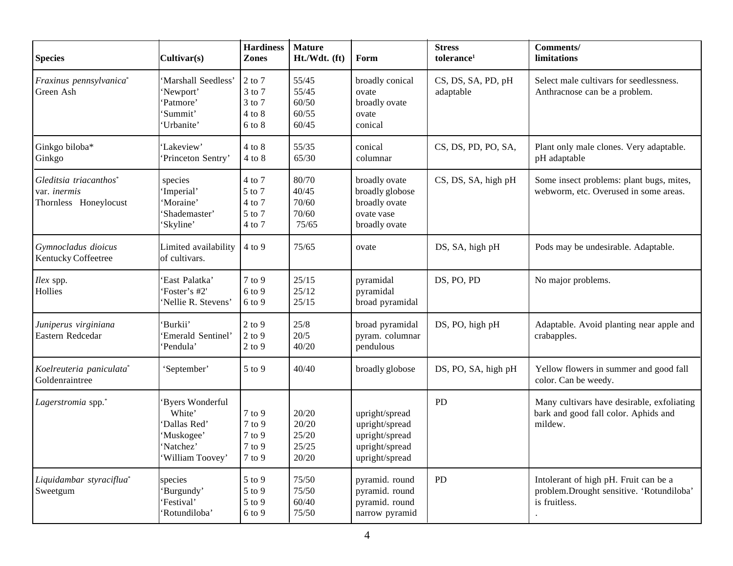| <b>Species</b>                                                         | Cultivar(s)                                                                             | <b>Hardiness</b><br>Zones                                  | <b>Mature</b><br>Ht./Wdt. (ft)            | Form                                                                                   | <b>Stress</b><br>tolerance <sup>1</sup> | <b>Comments/</b><br>limitations                                                                    |
|------------------------------------------------------------------------|-----------------------------------------------------------------------------------------|------------------------------------------------------------|-------------------------------------------|----------------------------------------------------------------------------------------|-----------------------------------------|----------------------------------------------------------------------------------------------------|
| Fraxinus pennsylvanica*<br>Green Ash                                   | 'Marshall Seedless'<br>'Newport'<br>Patmore'<br>Summit'<br>'Urbanite'                   | $2$ to $7$<br>3 to 7<br>3 to 7<br>$4$ to $8$<br>$6$ to $8$ | 55/45<br>55/45<br>60/50<br>60/55<br>60/45 | broadly conical<br>ovate<br>broadly ovate<br>ovate<br>conical                          | CS, DS, SA, PD, pH<br>adaptable         | Select male cultivars for seedlessness.<br>Anthracnose can be a problem.                           |
| Ginkgo biloba*<br>Ginkgo                                               | 'Lakeview'<br>'Princeton Sentry'                                                        | $4$ to $8$<br>$4$ to $8$                                   | 55/35<br>65/30                            | conical<br>columnar                                                                    | CS, DS, PD, PO, SA,                     | Plant only male clones. Very adaptable.<br>pH adaptable                                            |
| Gleditsia triacanthos*<br>var. <i>inermis</i><br>Thornless Honeylocust | species<br>'Imperial'<br>'Moraine'<br>'Shademaster'<br>'Skyline'                        | 4 to 7<br>5 to 7<br>4 to 7<br>5 to 7<br>4 to 7             | 80/70<br>40/45<br>70/60<br>70/60<br>75/65 | broadly ovate<br>broadly globose<br>broadly ovate<br>ovate vase<br>broadly ovate       | CS, DS, SA, high pH                     | Some insect problems: plant bugs, mites,<br>webworm, etc. Overused in some areas.                  |
| Gymnocladus dioicus<br>Kentucky Coffeetree                             | Limited availability<br>of cultivars.                                                   | $4$ to $9$                                                 | 75/65                                     | ovate                                                                                  | DS, SA, high pH                         | Pods may be undesirable. Adaptable.                                                                |
| Ilex spp.<br>Hollies                                                   | 'East Palatka'<br>'Foster's #2'<br>'Nellie R. Stevens'                                  | $7$ to $9$<br>$6$ to $9$<br>6 to 9                         | 25/15<br>25/12<br>25/15                   | pyramidal<br>pyramidal<br>broad pyramidal                                              | DS, PO, PD                              | No major problems.                                                                                 |
| Juniperus virginiana<br>Eastern Redcedar                               | 'Burkii'<br>'Emerald Sentinel'<br>'Pendula'                                             | $2$ to $9$<br>$2$ to $9$<br>$2$ to $9$                     | 25/8<br>20/5<br>40/20                     | broad pyramidal<br>pyram. columnar<br>pendulous                                        | DS, PO, high pH                         | Adaptable. Avoid planting near apple and<br>crabapples.                                            |
| Koelreuteria paniculata*<br>Goldenraintree                             | 'September'                                                                             | 5 to 9                                                     | 40/40                                     | broadly globose                                                                        | DS, PO, SA, high pH                     | Yellow flowers in summer and good fall<br>color. Can be weedy.                                     |
| Lagerstromia spp."                                                     | Byers Wonderful<br>White'<br>Dallas Red'<br>'Muskogee'<br>'Natchez'<br>'William Toovey' | $7$ to $9$<br>7 to 9<br>$7$ to $9$<br>7 to 9<br>7 to 9     | 20/20<br>20/20<br>25/20<br>25/25<br>20/20 | upright/spread<br>upright/spread<br>upright/spread<br>upright/spread<br>upright/spread | PD                                      | Many cultivars have desirable, exfoliating<br>bark and good fall color. Aphids and<br>mildew.      |
| Liquidambar styraciflua*<br>Sweetgum                                   | species<br>Burgundy'<br>'Festival'<br>'Rotundiloba'                                     | 5 to 9<br>5 to 9<br>$5$ to $9$<br>6 to 9                   | 75/50<br>75/50<br>60/40<br>75/50          | pyramid. round<br>pyramid. round<br>pyramid. round<br>narrow pyramid                   | PD                                      | Intolerant of high pH. Fruit can be a<br>problem.Drought sensitive. 'Rotundiloba'<br>is fruitless. |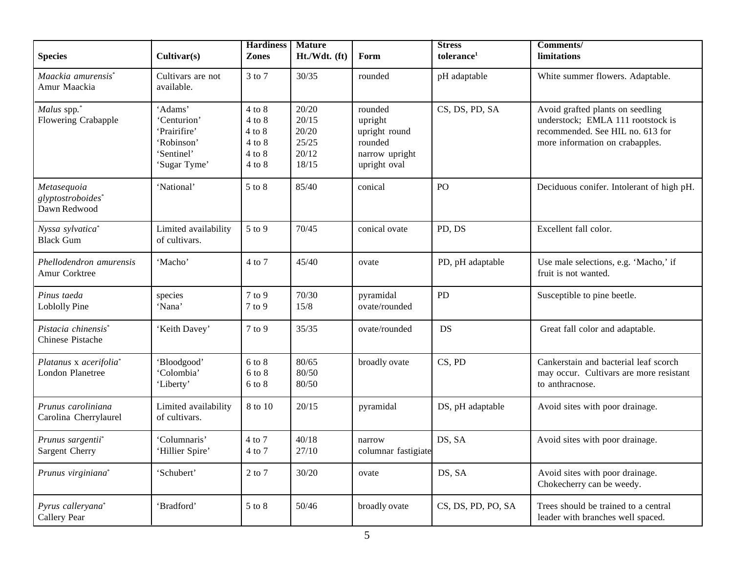| <b>Species</b>                                    | Cultivar(s)                                                                        | <b>Hardiness</b><br><b>Zones</b>                                                 | <b>Mature</b><br>Ht./Wdt. (ft)                     | Form                                                                             | <b>Stress</b><br>tolerance <sup>1</sup> | Comments/<br>limitations                                                                                                                     |
|---------------------------------------------------|------------------------------------------------------------------------------------|----------------------------------------------------------------------------------|----------------------------------------------------|----------------------------------------------------------------------------------|-----------------------------------------|----------------------------------------------------------------------------------------------------------------------------------------------|
| Maackia amurensis*<br>Amur Maackia                | Cultivars are not<br>available.                                                    | 3 to 7                                                                           | 30/35                                              | rounded                                                                          | pH adaptable                            | White summer flowers. Adaptable.                                                                                                             |
| Malus spp.*<br>Flowering Crabapple                | 'Adams'<br>'Centurion'<br>'Prairifire'<br>'Robinson'<br>'Sentinel'<br>'Sugar Tyme' | $4$ to $8$<br>$4$ to $8$<br>$4$ to $8$<br>$4$ to $8$<br>$4$ to $8$<br>$4$ to $8$ | 20/20<br>20/15<br>20/20<br>25/25<br>20/12<br>18/15 | rounded<br>upright<br>upright round<br>rounded<br>narrow upright<br>upright oval | CS, DS, PD, SA                          | Avoid grafted plants on seedling<br>understock; EMLA 111 rootstock is<br>recommended. See HIL no. 613 for<br>more information on crabapples. |
| Metasequoia<br>glyptostroboides*<br>Dawn Redwood  | 'National'                                                                         | $5$ to $8$                                                                       | 85/40                                              | conical                                                                          | PO                                      | Deciduous conifer. Intolerant of high pH.                                                                                                    |
| Nyssa sylvatica*<br><b>Black Gum</b>              | Limited availability<br>of cultivars.                                              | $5$ to $9$                                                                       | 70/45                                              | conical ovate                                                                    | PD, DS                                  | Excellent fall color.                                                                                                                        |
| Phellodendron amurensis<br>Amur Corktree          | 'Macho'                                                                            | 4 to 7                                                                           | 45/40                                              | ovate                                                                            | PD, pH adaptable                        | Use male selections, e.g. 'Macho,' if<br>fruit is not wanted.                                                                                |
| Pinus taeda<br><b>Loblolly Pine</b>               | species<br>'Nana'                                                                  | $7$ to $9$<br>7 to 9                                                             | 70/30<br>15/8                                      | pyramidal<br>ovate/rounded                                                       | PD                                      | Susceptible to pine beetle.                                                                                                                  |
| Pistacia chinensis*<br>Chinese Pistache           | 'Keith Davey'                                                                      | 7 to 9                                                                           | 35/35                                              | ovate/rounded                                                                    | DS                                      | Great fall color and adaptable.                                                                                                              |
| Platanus x acerifolia*<br><b>London Planetree</b> | 'Bloodgood'<br>'Colombia'<br>'Liberty'                                             | $6$ to $8$<br>6 to 8<br>$6$ to $8\,$                                             | 80/65<br>80/50<br>80/50                            | broadly ovate                                                                    | CS, PD                                  | Cankerstain and bacterial leaf scorch<br>may occur. Cultivars are more resistant<br>to anthracnose.                                          |
| Prunus caroliniana<br>Carolina Cherrylaurel       | Limited availability<br>of cultivars.                                              | 8 to 10                                                                          | 20/15                                              | pyramidal                                                                        | DS, pH adaptable                        | Avoid sites with poor drainage.                                                                                                              |
| Prunus sargentii*<br>Sargent Cherry               | 'Columnaris'<br>'Hillier Spire'                                                    | 4 to 7<br>4 to 7                                                                 | 40/18<br>27/10                                     | narrow<br>columnar fastigiate                                                    | DS, SA                                  | Avoid sites with poor drainage.                                                                                                              |
| Prunus virginiana*                                | 'Schubert'                                                                         | 2 to 7                                                                           | 30/20                                              | ovate                                                                            | DS, SA                                  | Avoid sites with poor drainage.<br>Chokecherry can be weedy.                                                                                 |
| Pyrus calleryana*<br>Callery Pear                 | 'Bradford'                                                                         | 5 to 8                                                                           | 50/46                                              | broadly ovate                                                                    | CS, DS, PD, PO, SA                      | Trees should be trained to a central<br>leader with branches well spaced.                                                                    |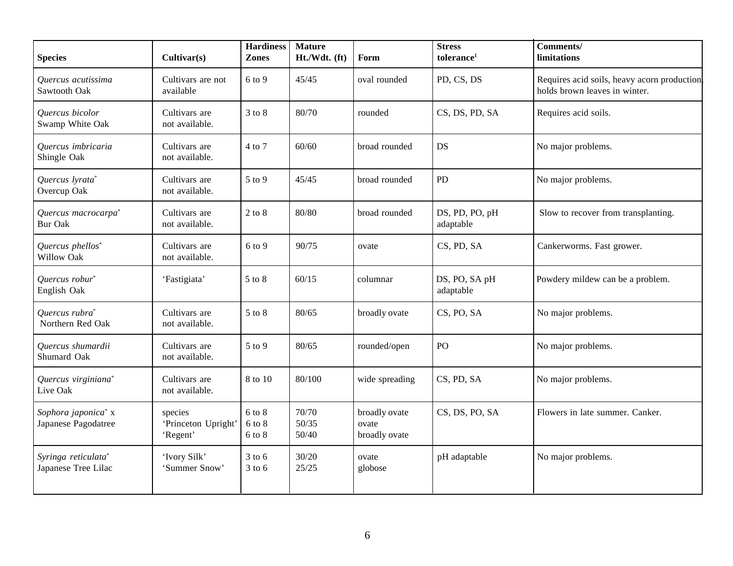| <b>Species</b>                                    | Cultivar(s)                                | <b>Hardiness</b><br><b>Zones</b>   | <b>Mature</b><br>Ht./Wdt. (ft) | Form                                    | <b>Stress</b><br>tolerance <sup>1</sup> | Comments/<br>limitations                                                     |
|---------------------------------------------------|--------------------------------------------|------------------------------------|--------------------------------|-----------------------------------------|-----------------------------------------|------------------------------------------------------------------------------|
| Quercus acutissima<br>Sawtooth Oak                | Cultivars are not<br>available             | 6 to 9                             | 45/45                          | oval rounded                            | PD, CS, DS                              | Requires acid soils, heavy acorn production<br>holds brown leaves in winter. |
| Quercus bicolor<br>Swamp White Oak                | Cultivars are<br>not available.            | $3$ to $8$                         | 80/70                          | rounded                                 | CS, DS, PD, SA                          | Requires acid soils.                                                         |
| Quercus imbricaria<br>Shingle Oak                 | Cultivars are<br>not available.            | 4 to 7                             | 60/60                          | broad rounded                           | DS                                      | No major problems.                                                           |
| Quercus lyrata*<br>Overcup Oak                    | Cultivars are<br>not available.            | 5 to 9                             | 45/45                          | broad rounded                           | PD                                      | No major problems.                                                           |
| Quercus macrocarpa <sup>*</sup><br><b>Bur Oak</b> | Cultivars are<br>not available.            | $2$ to $8$                         | 80/80                          | broad rounded                           | DS, PD, PO, pH<br>adaptable             | Slow to recover from transplanting.                                          |
| Quercus phellos*<br>Willow Oak                    | Cultivars are<br>not available.            | 6 to 9                             | 90/75                          | ovate                                   | CS, PD, SA                              | Cankerworms. Fast grower.                                                    |
| Quercus robur*<br>English Oak                     | 'Fastigiata'                               | 5 to 8                             | 60/15                          | columnar                                | DS, PO, SA pH<br>adaptable              | Powdery mildew can be a problem.                                             |
| Quercus rubra*<br>Northern Red Oak                | Cultivars are<br>not available.            | 5 to 8                             | 80/65                          | broadly ovate                           | CS, PO, SA                              | No major problems.                                                           |
| Quercus shumardii<br>Shumard Oak                  | Cultivars are<br>not available.            | 5 to 9                             | 80/65                          | rounded/open                            | PO                                      | No major problems.                                                           |
| Quercus virginiana*<br>Live Oak                   | Cultivars are<br>not available.            | 8 to 10                            | 80/100                         | wide spreading                          | CS, PD, SA                              | No major problems.                                                           |
| Sophora japonica* x<br>Japanese Pagodatree        | species<br>'Princeton Upright'<br>'Regent' | $6$ to $8$<br>$6$ to $8$<br>6 to 8 | 70/70<br>50/35<br>50/40        | broadly ovate<br>ovate<br>broadly ovate | CS, DS, PO, SA                          | Flowers in late summer. Canker.                                              |
| Syringa reticulata*<br>Japanese Tree Lilac        | 'Ivory Silk'<br>'Summer Snow'              | $3$ to 6<br>$3$ to 6               | 30/20<br>25/25                 | ovate<br>globose                        | pH adaptable                            | No major problems.                                                           |